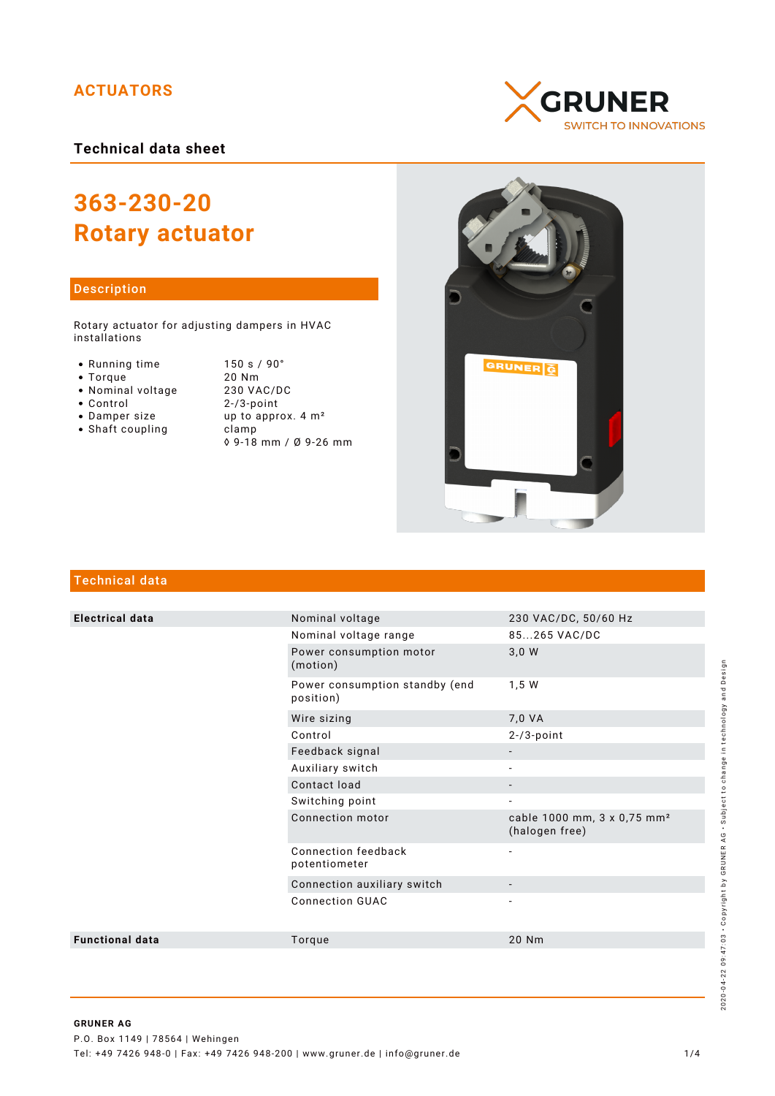# **ACTUATORS**

**Technical data sheet**

# **363-230-20 Rotary actuator**

# Description

Rotary actuator for adjusting dampers in HVAC installations

- Running time
- $\bullet$  Torque
- Nominal voltage
- Control
- Damper size
- $\bullet$  Shaft coupling

| 150 s / 90°                   |
|-------------------------------|
| 20 Nm                         |
| 230 VAC/DC                    |
| $2 - 73$ -point               |
| up to approx. $4 \text{ m}^2$ |
| clamp                         |
| ◊ 9-18 mm / Ø 9-26 mm         |





# Technical data

| <b>Electrical data</b> | Nominal voltage                             | 230 VAC/DC, 50/60 Hz                                      |
|------------------------|---------------------------------------------|-----------------------------------------------------------|
|                        | Nominal voltage range                       | 85265 VAC/DC                                              |
|                        | Power consumption motor<br>(motion)         | 3,0 W                                                     |
|                        | Power consumption standby (end<br>position) | 1,5 W                                                     |
|                        | Wire sizing                                 | 7,0 VA                                                    |
|                        | Control                                     | $2 - 73$ -point                                           |
|                        | Feedback signal                             |                                                           |
|                        | Auxiliary switch                            |                                                           |
|                        | Contact load                                | $\overline{\phantom{0}}$                                  |
|                        | Switching point                             | $\overline{\phantom{a}}$                                  |
|                        | Connection motor                            | cable 1000 mm, 3 x 0,75 mm <sup>2</sup><br>(halogen free) |
|                        | Connection feedback<br>potentiometer        | $\overline{\phantom{a}}$                                  |
|                        | Connection auxiliary switch                 |                                                           |
|                        | <b>Connection GUAC</b>                      |                                                           |
| <b>Functional data</b> | Torque                                      | 20 Nm                                                     |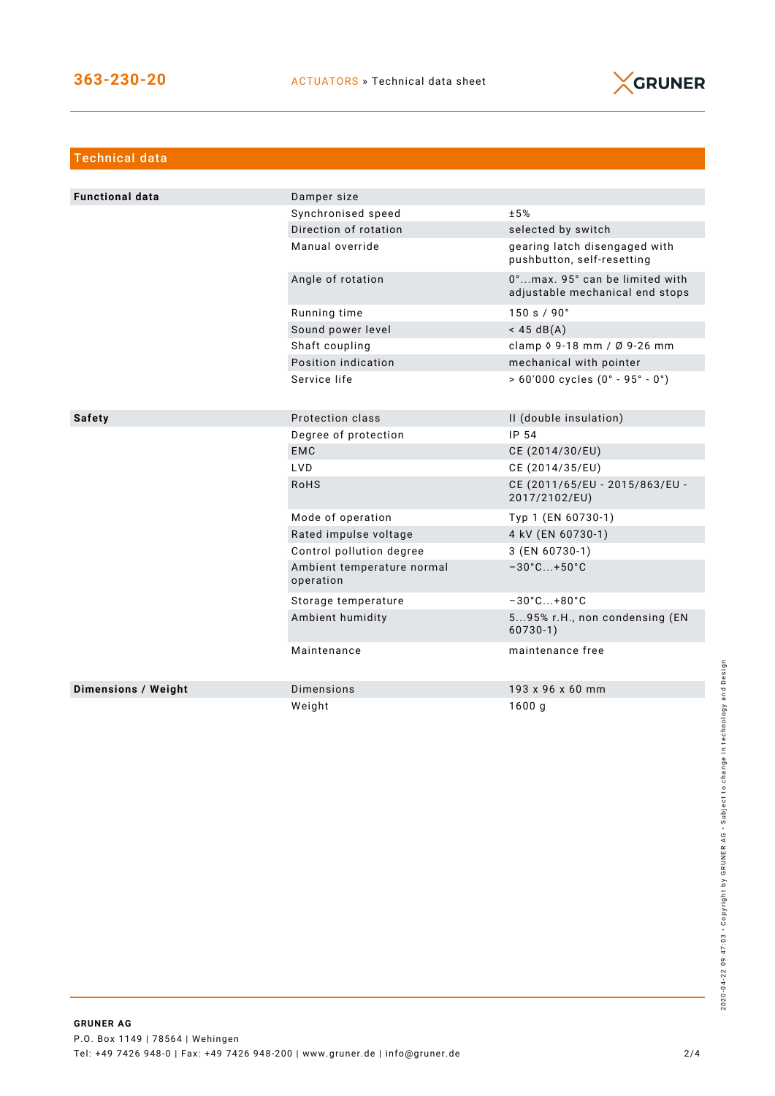

| <b>Technical data</b>      |                                         |                                                                   |
|----------------------------|-----------------------------------------|-------------------------------------------------------------------|
|                            |                                         |                                                                   |
| <b>Functional data</b>     | Damper size                             |                                                                   |
|                            | Synchronised speed                      | ±5%                                                               |
|                            | Direction of rotation                   | selected by switch                                                |
|                            | Manual override                         | gearing latch disengaged with<br>pushbutton, self-resetting       |
|                            | Angle of rotation                       | 0°max. 95° can be limited with<br>adjustable mechanical end stops |
|                            | Running time                            | 150 s / 90°                                                       |
|                            | Sound power level                       | $<$ 45 dB(A)                                                      |
|                            | Shaft coupling                          | clamp $\sqrt{9} - 18$ mm / $\sqrt{9} - 26$ mm                     |
|                            | Position indication                     | mechanical with pointer                                           |
|                            | Service life                            | $> 60'000$ cycles $(0° - 95° - 0°)$                               |
|                            |                                         |                                                                   |
| <b>Safety</b>              | Protection class                        | II (double insulation)                                            |
|                            | Degree of protection                    | IP 54                                                             |
|                            | <b>EMC</b>                              | CE (2014/30/EU)                                                   |
|                            | LVD.                                    | CE (2014/35/EU)                                                   |
|                            | <b>RoHS</b>                             | CE (2011/65/EU - 2015/863/EU -<br>2017/2102/EU)                   |
|                            | Mode of operation                       | Typ 1 (EN 60730-1)                                                |
|                            | Rated impulse voltage                   | 4 kV (EN 60730-1)                                                 |
|                            | Control pollution degree                | 3 (EN 60730-1)                                                    |
|                            | Ambient temperature normal<br>operation | $-30^{\circ}$ C +50 $^{\circ}$ C                                  |
|                            | Storage temperature                     | $-30^{\circ}$ C +80 $^{\circ}$ C                                  |
|                            | Ambient humidity                        | 595% r.H., non condensing (EN<br>$60730-1)$                       |
|                            | Maintenance                             | maintenance free                                                  |
| <b>Dimensions / Weight</b> | <b>Dimensions</b>                       | 193 x 96 x 60 mm                                                  |
|                            | Weight                                  | 1600g                                                             |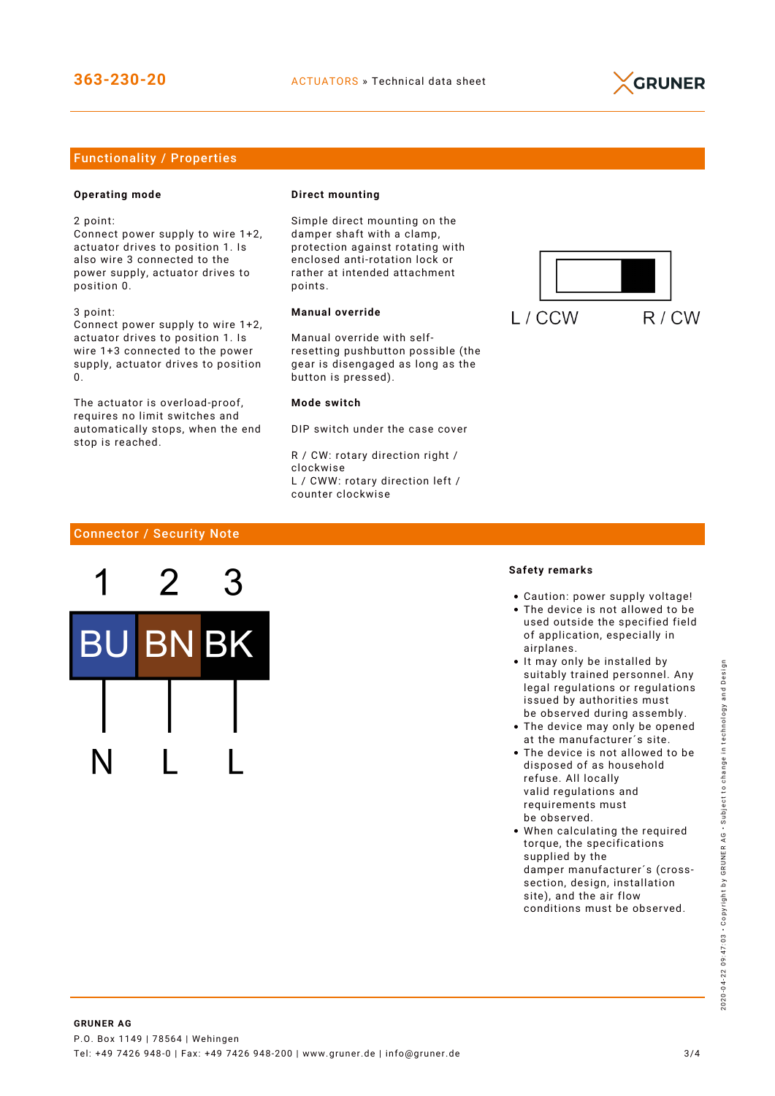

# Functionality / Properties

## **Operating mode**

2 point:

Connect power supply to wire 1+2, actuator drives to position 1. Is also wire 3 connected to the power supply, actuator drives to position 0.

3 point: Connect power supply to wire 1+2, actuator drives to position 1. Is wire 1+3 connected to the power supply, actuator drives to position  $\Omega$ 

The actuator is overload-proof, requires no limit switches and automatically stops, when the end stop is reached.

#### **Direct mounting**

Simple direct mounting on the damper shaft with a clamp, protection against rotating with enclosed anti-rotation lock or rather at intended attachment points.

# **Manual override**

Manual override with selfresetting pushbutton possible (the gear is disengaged as long as the button is pressed).

#### **Mode switch**

DIP switch under the case cover

R / CW: rotary direction right / clockwise L / CWW: rotary direction left / counter clockwise



# Connector / Security Note



#### **Safety remarks**

- Caution: power supply voltage!
- The device is not allowed to be used outside the specified field of application, especially in airplanes.
- It may only be installed by suitably trained personnel. Any legal regulations or regulations issued by authorities must be observed during assembly.
- The device may only be opened at the manufacturer´s site.
- The device is not allowed to be disposed of as household refuse. All locally valid regulations and requirements must be observed.
- When calculating the required torque, the specifications supplied by the damper manufacturer´s (crosssection, design, installation site), and the air flow conditions must be observed.